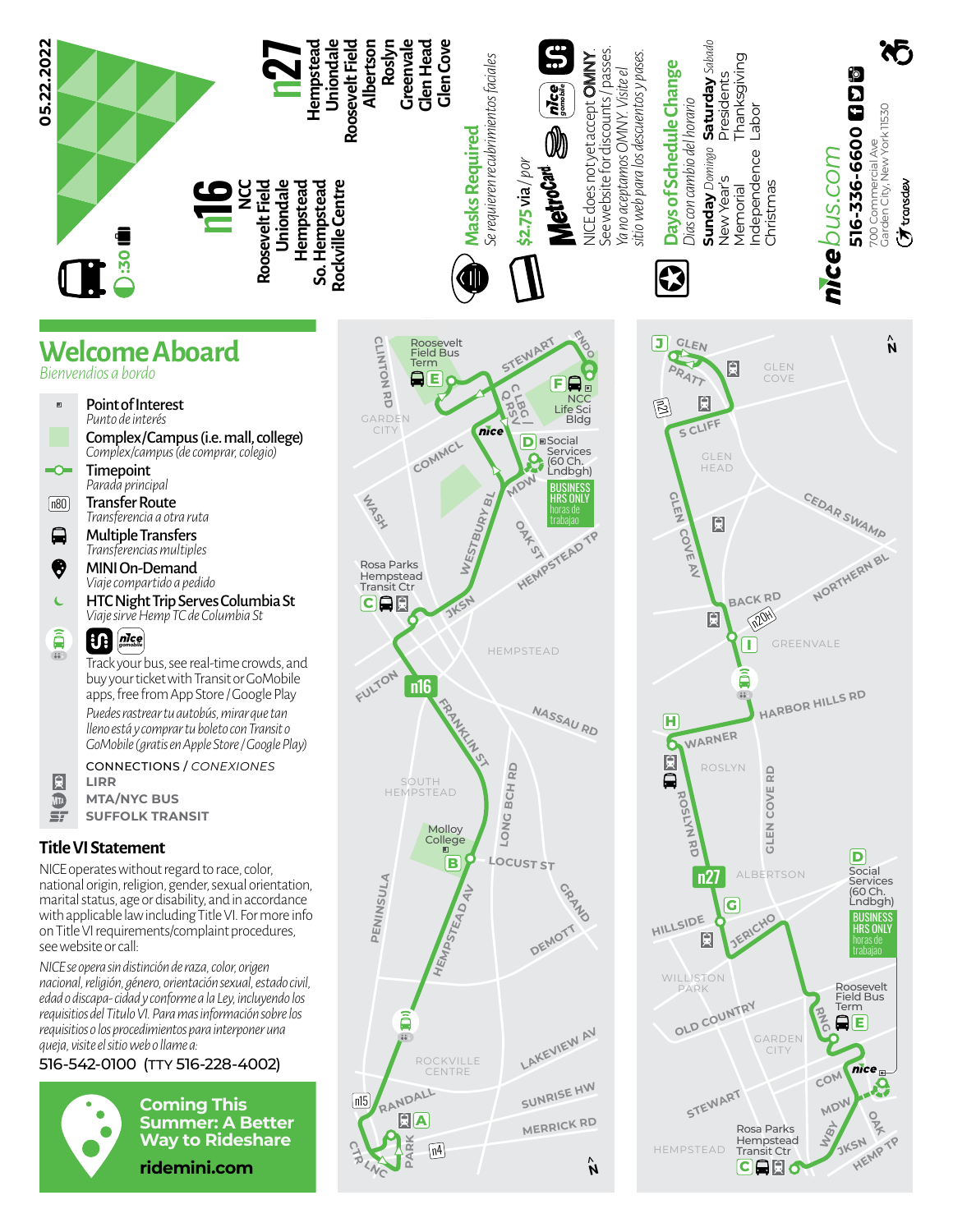

**SUNRISE HW MERRICK RD**

**N**>

**OLD COUNTRY**

WILLISTON PARK

**STEWART**

HEMPSTEAD

**WBY**

**CAR6** 

Rosa Parks **Hempstead** Transit Ctr

GARDEN CITY

**COM**

**RNG**

**MDW**

**E**

Roosevelt Field Bus Term

nice

trabajao

**O**<br>**P**<br>4P

**HEMP** 

**JKSN**

**LAKEVIEW AV**

see website or call: *NICE se opera sin distinción de raza, color, origen nacional, religión, género, orientación sexual, estado civil, edad o discapa- cidad y conforme a la Ley, incluyendo los requisitios del Titulo VI. Para mas información sobre los requisitios o los procedimientos para interponer una queja, visite el sitio web o llame a:*

## 516-542-0100 (TTY 516-228-4002)



**Coming This Summer: A Better Way to Rideshare**

**CHR** 

 $n15$ 

**PARK**

n4

**RANDALL** r **A**

ā  $11 - 10 = 10$ 

> ROCKVILLE **CENTRE**

**ridemini.com**